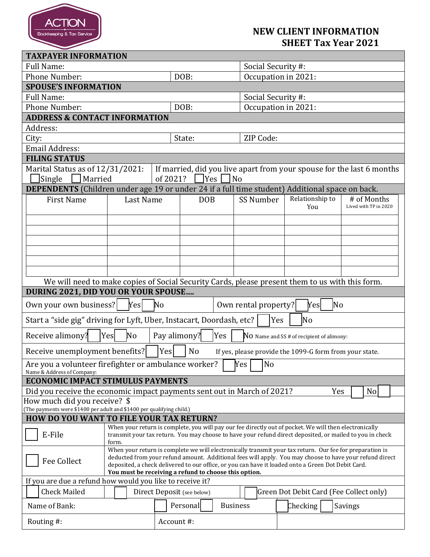

## **NEW CLIENT INFORMATION SHEET Tax Year 2021**

| <b>TAXPAYER INFORMATION</b>                                                                               |                                                                                                                                                             |  |            |  |                     |                    |  |                                                                                                          |  |
|-----------------------------------------------------------------------------------------------------------|-------------------------------------------------------------------------------------------------------------------------------------------------------------|--|------------|--|---------------------|--------------------|--|----------------------------------------------------------------------------------------------------------|--|
| <b>Full Name:</b>                                                                                         |                                                                                                                                                             |  |            |  | Social Security #:  |                    |  |                                                                                                          |  |
| <b>Phone Number:</b>                                                                                      |                                                                                                                                                             |  | DOB:       |  | Occupation in 2021: |                    |  |                                                                                                          |  |
| <b>SPOUSE'S INFORMATION</b>                                                                               |                                                                                                                                                             |  |            |  |                     |                    |  |                                                                                                          |  |
| <b>Full Name:</b>                                                                                         |                                                                                                                                                             |  |            |  |                     | Social Security #: |  |                                                                                                          |  |
| <b>Phone Number:</b>                                                                                      |                                                                                                                                                             |  | DOB:       |  | Occupation in 2021: |                    |  |                                                                                                          |  |
| <b>ADDRESS &amp; CONTACT INFORMATION</b>                                                                  |                                                                                                                                                             |  |            |  |                     |                    |  |                                                                                                          |  |
| Address:                                                                                                  |                                                                                                                                                             |  |            |  |                     |                    |  |                                                                                                          |  |
| City:                                                                                                     |                                                                                                                                                             |  | State:     |  | ZIP Code:           |                    |  |                                                                                                          |  |
| <b>Email Address:</b>                                                                                     |                                                                                                                                                             |  |            |  |                     |                    |  |                                                                                                          |  |
| <b>FILING STATUS</b>                                                                                      |                                                                                                                                                             |  |            |  |                     |                    |  |                                                                                                          |  |
| Marital Status as of 12/31/2021:<br>If married, did you live apart from your spouse for the last 6 months |                                                                                                                                                             |  |            |  |                     |                    |  |                                                                                                          |  |
| Married<br>of 2021?<br> Yes  <br>$ $ No<br>Single                                                         |                                                                                                                                                             |  |            |  |                     |                    |  |                                                                                                          |  |
| <b>DEPENDENTS</b> (Children under age 19 or under 24 if a full time student) Additional space on back.    |                                                                                                                                                             |  |            |  |                     |                    |  |                                                                                                          |  |
|                                                                                                           |                                                                                                                                                             |  |            |  | SS Number           | Relationship to    |  | # of Months                                                                                              |  |
|                                                                                                           | <b>First Name</b><br>Last Name                                                                                                                              |  | <b>DOB</b> |  |                     | You                |  | Lived with TP in 2020                                                                                    |  |
|                                                                                                           |                                                                                                                                                             |  |            |  |                     |                    |  |                                                                                                          |  |
|                                                                                                           |                                                                                                                                                             |  |            |  |                     |                    |  |                                                                                                          |  |
|                                                                                                           |                                                                                                                                                             |  |            |  |                     |                    |  |                                                                                                          |  |
|                                                                                                           |                                                                                                                                                             |  |            |  |                     |                    |  |                                                                                                          |  |
|                                                                                                           |                                                                                                                                                             |  |            |  |                     |                    |  |                                                                                                          |  |
|                                                                                                           |                                                                                                                                                             |  |            |  |                     |                    |  |                                                                                                          |  |
|                                                                                                           |                                                                                                                                                             |  |            |  |                     |                    |  |                                                                                                          |  |
| We will need to make copies of Social Security Cards, please present them to us with this form.           |                                                                                                                                                             |  |            |  |                     |                    |  |                                                                                                          |  |
| DURING 2021, DID YOU OR YOUR SPOUSE                                                                       |                                                                                                                                                             |  |            |  |                     |                    |  |                                                                                                          |  |
| Own your own business?<br>No<br>Yesl<br>Own rental property?<br>No<br>Yes                                 |                                                                                                                                                             |  |            |  |                     |                    |  |                                                                                                          |  |
| Start a "side gig" driving for Lyft, Uber, Instacart, Doordash, etc?<br>No<br>Yes                         |                                                                                                                                                             |  |            |  |                     |                    |  |                                                                                                          |  |
| Receive alimony?<br>Pay alimony?<br>Yes<br>No<br>Yes<br>NO Name and SS # of recipient of alimony:         |                                                                                                                                                             |  |            |  |                     |                    |  |                                                                                                          |  |
| Receive unemployment benefits?<br>Yes<br>No<br>If yes, please provide the 1099-G form from your state.    |                                                                                                                                                             |  |            |  |                     |                    |  |                                                                                                          |  |
| No<br>Are you a volunteer firefighter or ambulance worker?<br>Yes<br>Name & Address of Company:           |                                                                                                                                                             |  |            |  |                     |                    |  |                                                                                                          |  |
| <b>ECONOMIC IMPACT STIMULUS PAYMENTS</b>                                                                  |                                                                                                                                                             |  |            |  |                     |                    |  |                                                                                                          |  |
| N <sub>o</sub><br>Did you receive the economic impact payments sent out in March of 2021?<br>Yes          |                                                                                                                                                             |  |            |  |                     |                    |  |                                                                                                          |  |
| How much did you receive? \$                                                                              |                                                                                                                                                             |  |            |  |                     |                    |  |                                                                                                          |  |
| (The payments were \$1400 per adult and \$1400 per qualifying child.)                                     |                                                                                                                                                             |  |            |  |                     |                    |  |                                                                                                          |  |
| <b>HOW DO YOU WANT TO FILE YOUR TAX RETURN?</b>                                                           |                                                                                                                                                             |  |            |  |                     |                    |  |                                                                                                          |  |
| When your return is complete, you will pay our fee directly out of pocket. We will then electronically    |                                                                                                                                                             |  |            |  |                     |                    |  |                                                                                                          |  |
| E-File                                                                                                    | transmit your tax return. You may choose to have your refund direct deposited, or mailed to you in check<br>form.                                           |  |            |  |                     |                    |  |                                                                                                          |  |
|                                                                                                           |                                                                                                                                                             |  |            |  |                     |                    |  | When your return is complete we will electronically transmit your tax return. Our fee for preparation is |  |
| <b>Fee Collect</b>                                                                                        | deducted from your refund amount. Additional fees will apply. You may choose to have your refund direct                                                     |  |            |  |                     |                    |  |                                                                                                          |  |
|                                                                                                           | deposited, a check delivered to our office, or you can have it loaded onto a Green Dot Debit Card.<br>You must be receiving a refund to choose this option. |  |            |  |                     |                    |  |                                                                                                          |  |
| If you are due a refund how would you like to receive it?                                                 |                                                                                                                                                             |  |            |  |                     |                    |  |                                                                                                          |  |
| <b>Check Mailed</b>                                                                                       | Green Dot Debit Card (Fee Collect only)<br>Direct Deposit (see below)                                                                                       |  |            |  |                     |                    |  |                                                                                                          |  |
| <b>Business</b><br>Name of Bank:<br>Personal<br>Checking                                                  |                                                                                                                                                             |  |            |  |                     | Savings            |  |                                                                                                          |  |
|                                                                                                           |                                                                                                                                                             |  | Account#:  |  |                     |                    |  |                                                                                                          |  |
| Routing #:                                                                                                |                                                                                                                                                             |  |            |  |                     |                    |  |                                                                                                          |  |